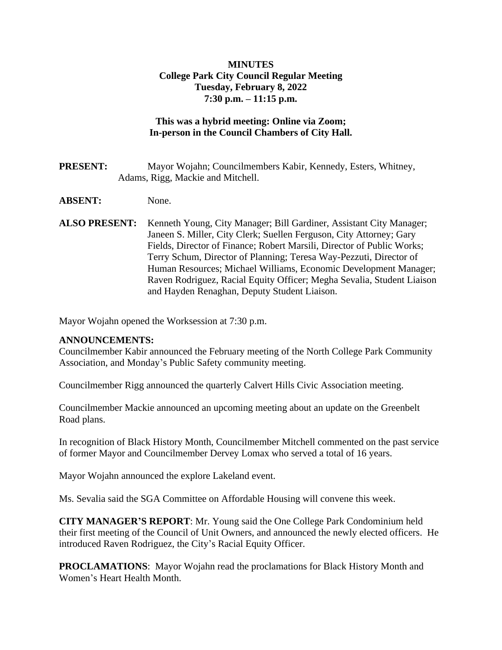#### **MINUTES College Park City Council Regular Meeting Tuesday, February 8, 2022 7:30 p.m. – 11:15 p.m.**

# **This was a hybrid meeting: Online via Zoom; In-person in the Council Chambers of City Hall.**

- **PRESENT:** Mayor Wojahn; Councilmembers Kabir, Kennedy, Esters, Whitney, Adams, Rigg, Mackie and Mitchell.
- **ABSENT:** None.
- **ALSO PRESENT:** Kenneth Young, City Manager; Bill Gardiner, Assistant City Manager; Janeen S. Miller, City Clerk; Suellen Ferguson, City Attorney; Gary Fields, Director of Finance; Robert Marsili, Director of Public Works; Terry Schum, Director of Planning; Teresa Way-Pezzuti, Director of Human Resources; Michael Williams, Economic Development Manager; Raven Rodriguez, Racial Equity Officer; Megha Sevalia, Student Liaison and Hayden Renaghan, Deputy Student Liaison.

Mayor Wojahn opened the Worksession at 7:30 p.m.

#### **ANNOUNCEMENTS:**

Councilmember Kabir announced the February meeting of the North College Park Community Association, and Monday's Public Safety community meeting.

Councilmember Rigg announced the quarterly Calvert Hills Civic Association meeting.

Councilmember Mackie announced an upcoming meeting about an update on the Greenbelt Road plans.

In recognition of Black History Month, Councilmember Mitchell commented on the past service of former Mayor and Councilmember Dervey Lomax who served a total of 16 years.

Mayor Wojahn announced the explore Lakeland event.

Ms. Sevalia said the SGA Committee on Affordable Housing will convene this week.

**CITY MANAGER'S REPORT**: Mr. Young said the One College Park Condominium held their first meeting of the Council of Unit Owners, and announced the newly elected officers. He introduced Raven Rodriguez, the City's Racial Equity Officer.

**PROCLAMATIONS**: Mayor Wojahn read the proclamations for Black History Month and Women's Heart Health Month.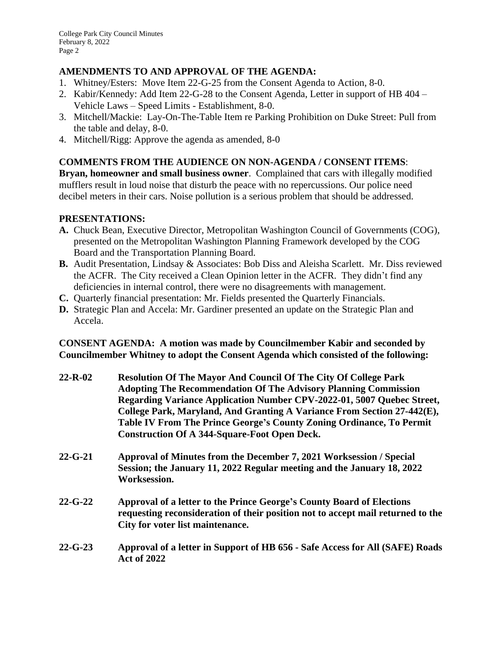### **AMENDMENTS TO AND APPROVAL OF THE AGENDA:**

- 1. Whitney/Esters: Move Item 22-G-25 from the Consent Agenda to Action, 8-0.
- 2. Kabir/Kennedy: Add Item 22-G-28 to the Consent Agenda, Letter in support of HB 404 Vehicle Laws – Speed Limits - Establishment, 8-0.
- 3. Mitchell/Mackie: Lay-On-The-Table Item re Parking Prohibition on Duke Street: Pull from the table and delay, 8-0.
- 4. Mitchell/Rigg: Approve the agenda as amended, 8-0

# **COMMENTS FROM THE AUDIENCE ON NON-AGENDA / CONSENT ITEMS**:

**Bryan, homeowner and small business owner**. Complained that cars with illegally modified mufflers result in loud noise that disturb the peace with no repercussions. Our police need decibel meters in their cars. Noise pollution is a serious problem that should be addressed.

# **PRESENTATIONS:**

- **A.** Chuck Bean, Executive Director, Metropolitan Washington Council of Governments (COG), presented on the Metropolitan Washington Planning Framework developed by the COG Board and the Transportation Planning Board.
- **B.** Audit Presentation, Lindsay & Associates: Bob Diss and Aleisha Scarlett. Mr. Diss reviewed the ACFR. The City received a Clean Opinion letter in the ACFR. They didn't find any deficiencies in internal control, there were no disagreements with management.
- **C.** Quarterly financial presentation: Mr. Fields presented the Quarterly Financials.
- **D.** Strategic Plan and Accela: Mr. Gardiner presented an update on the Strategic Plan and Accela.

**CONSENT AGENDA: A motion was made by Councilmember Kabir and seconded by Councilmember Whitney to adopt the Consent Agenda which consisted of the following:** 

- **22-R-02 Resolution Of The Mayor And Council Of The City Of College Park Adopting The Recommendation Of The Advisory Planning Commission Regarding Variance Application Number CPV-2022-01, 5007 Quebec Street, College Park, Maryland, And Granting A Variance From Section 27-442(E), Table IV From The Prince George's County Zoning Ordinance, To Permit Construction Of A 344-Square-Foot Open Deck.**
- **22-G-21 Approval of Minutes from the December 7, 2021 Worksession / Special Session; the January 11, 2022 Regular meeting and the January 18, 2022 Worksession.**
- **22-G-22 Approval of a letter to the Prince George's County Board of Elections requesting reconsideration of their position not to accept mail returned to the City for voter list maintenance.**
- **22-G-23 Approval of a letter in Support of HB 656 Safe Access for All (SAFE) Roads Act of 2022**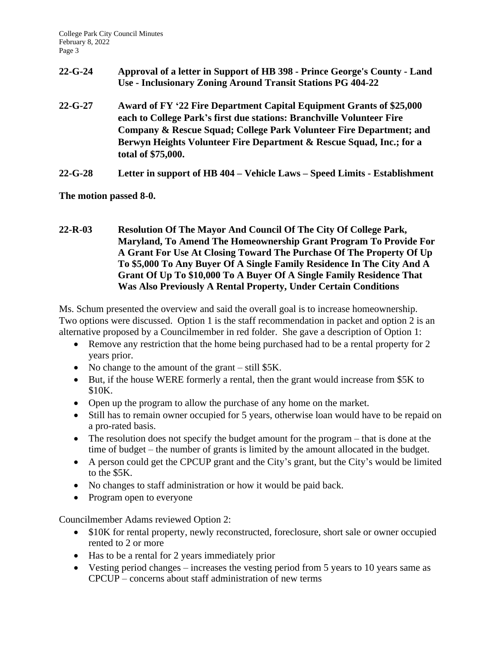- **22-G-24 Approval of a letter in Support of HB 398 Prince George's County Land Use - Inclusionary Zoning Around Transit Stations PG 404-22**
- **22-G-27 Award of FY '22 Fire Department Capital Equipment Grants of \$25,000 each to College Park's first due stations: Branchville Volunteer Fire Company & Rescue Squad; College Park Volunteer Fire Department; and Berwyn Heights Volunteer Fire Department & Rescue Squad, Inc.; for a total of \$75,000.**
- **22-G-28 Letter in support of HB 404 – Vehicle Laws – Speed Limits Establishment**

**The motion passed 8-0.**

**22-R-03 Resolution Of The Mayor And Council Of The City Of College Park, Maryland, To Amend The Homeownership Grant Program To Provide For A Grant For Use At Closing Toward The Purchase Of The Property Of Up To \$5,000 To Any Buyer Of A Single Family Residence In The City And A Grant Of Up To \$10,000 To A Buyer Of A Single Family Residence That Was Also Previously A Rental Property, Under Certain Conditions** 

Ms. Schum presented the overview and said the overall goal is to increase homeownership. Two options were discussed. Option 1 is the staff recommendation in packet and option 2 is an alternative proposed by a Councilmember in red folder. She gave a description of Option 1:

- Remove any restriction that the home being purchased had to be a rental property for 2 years prior.
- No change to the amount of the grant still \$5K.
- But, if the house WERE formerly a rental, then the grant would increase from \$5K to \$10K.
- Open up the program to allow the purchase of any home on the market.
- Still has to remain owner occupied for 5 years, otherwise loan would have to be repaid on a pro-rated basis.
- The resolution does not specify the budget amount for the program that is done at the time of budget – the number of grants is limited by the amount allocated in the budget.
- A person could get the CPCUP grant and the City's grant, but the City's would be limited to the \$5K.
- No changes to staff administration or how it would be paid back.
- Program open to everyone

Councilmember Adams reviewed Option 2:

- \$10K for rental property, newly reconstructed, foreclosure, short sale or owner occupied rented to 2 or more
- Has to be a rental for 2 years immediately prior
- Vesting period changes increases the vesting period from 5 years to 10 years same as CPCUP – concerns about staff administration of new terms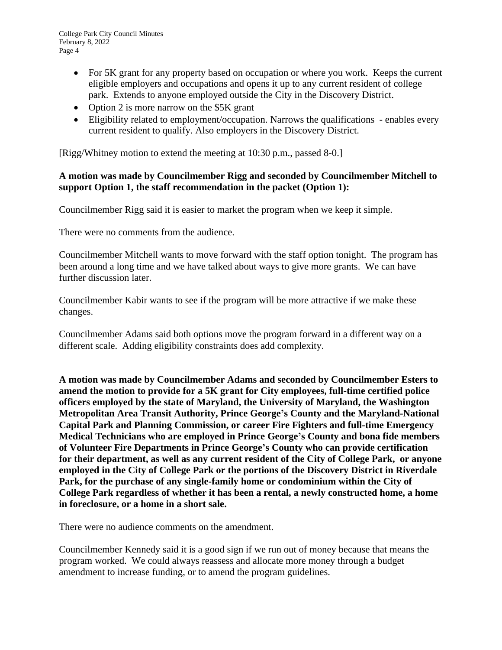College Park City Council Minutes February 8, 2022 Page 4

- For 5K grant for any property based on occupation or where you work. Keeps the current eligible employers and occupations and opens it up to any current resident of college park. Extends to anyone employed outside the City in the Discovery District.
- Option 2 is more narrow on the \$5K grant
- Eligibility related to employment/occupation. Narrows the qualifications enables every current resident to qualify. Also employers in the Discovery District.

[Rigg/Whitney motion to extend the meeting at 10:30 p.m., passed 8-0.]

### **A motion was made by Councilmember Rigg and seconded by Councilmember Mitchell to support Option 1, the staff recommendation in the packet (Option 1):**

Councilmember Rigg said it is easier to market the program when we keep it simple.

There were no comments from the audience.

Councilmember Mitchell wants to move forward with the staff option tonight. The program has been around a long time and we have talked about ways to give more grants. We can have further discussion later.

Councilmember Kabir wants to see if the program will be more attractive if we make these changes.

Councilmember Adams said both options move the program forward in a different way on a different scale. Adding eligibility constraints does add complexity.

**A motion was made by Councilmember Adams and seconded by Councilmember Esters to amend the motion to provide for a 5K grant for City employees, full-time certified police officers employed by the state of Maryland, the University of Maryland, the Washington Metropolitan Area Transit Authority, Prince George's County and the Maryland-National Capital Park and Planning Commission, or career Fire Fighters and full-time Emergency Medical Technicians who are employed in Prince George's County and bona fide members of Volunteer Fire Departments in Prince George's County who can provide certification for their department, as well as any current resident of the City of College Park, or anyone employed in the City of College Park or the portions of the Discovery District in Riverdale Park, for the purchase of any single-family home or condominium within the City of College Park regardless of whether it has been a rental, a newly constructed home, a home in foreclosure, or a home in a short sale.** 

There were no audience comments on the amendment.

Councilmember Kennedy said it is a good sign if we run out of money because that means the program worked. We could always reassess and allocate more money through a budget amendment to increase funding, or to amend the program guidelines.